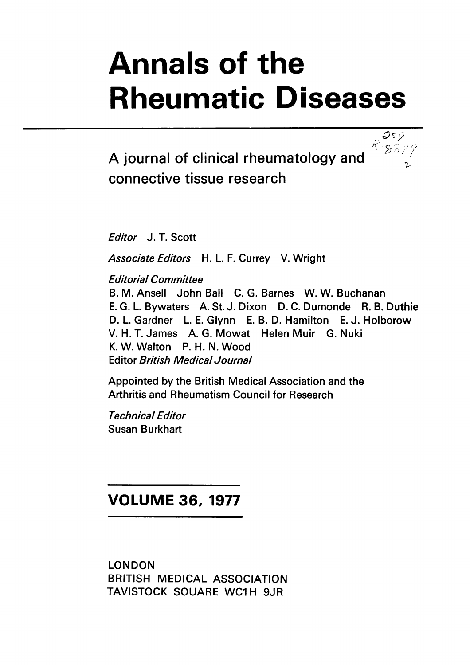# Annals of the Rheumatic Diseases

 $88879$ 

A journal of clinical rheumatology and connective tissue research

Editor J. T. Scott

Associate Editors H. L. F. Currey V. Wright

Editorial Committee

B. M. Ansell John Ball C. G. Barnes W. W. Buchanan E. G. L. Bywaters A. St. J. Dixon D. C. Dumonde R. B. Duthie D. L. Gardner L. E. Glynn E. B. D. Hamilton E. J. Holborow V. H. T. James A. G. Mowat Helen Muir G. Nuki K. W. Walton P. H. N. Wood Editor British Medical Journal

Appointed by the British Medical Association and the Arthritis and Rheumatism Council for Research

Technical Editor Susan Burkhart

## VOLUME 36, 1977

LONDON BRITISH MEDICAL ASSOCIATION TAVISTOCK SQUARE WC1H 9JR